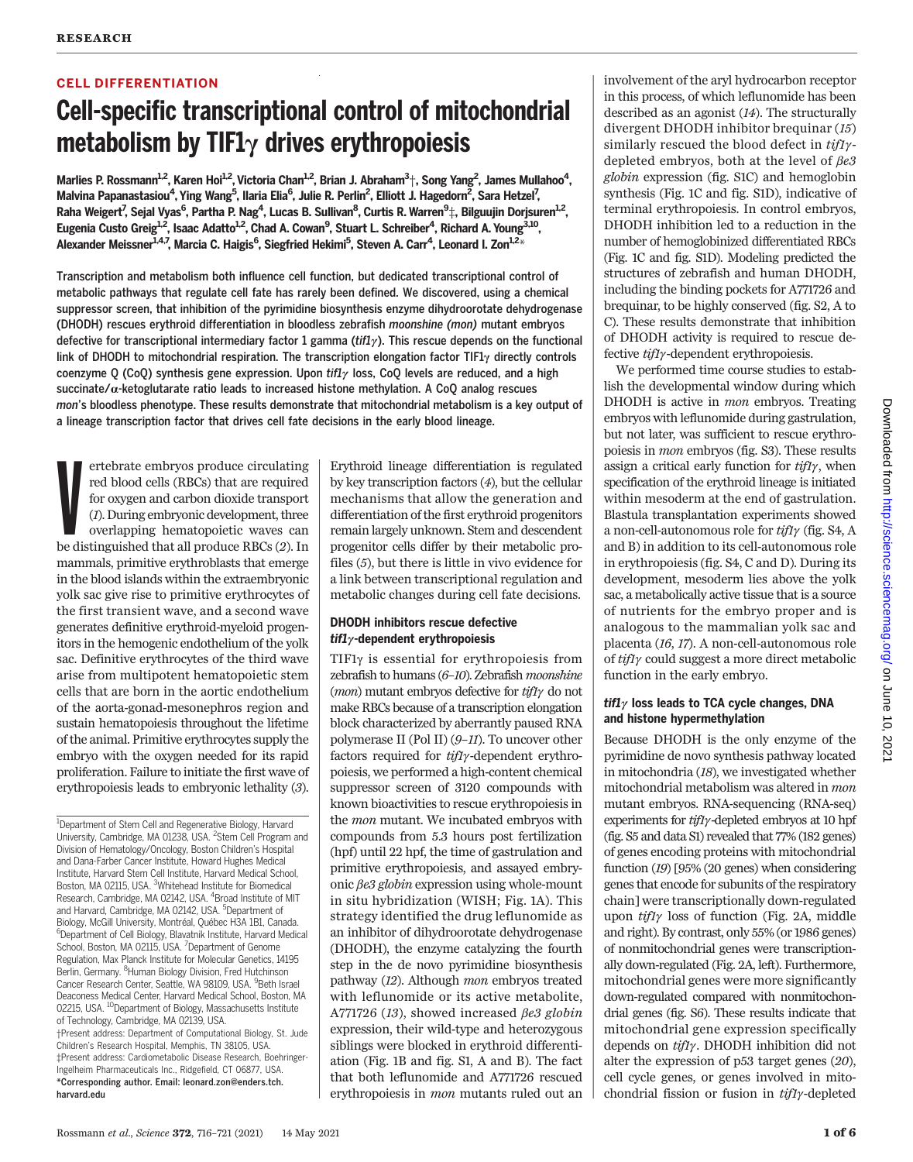# CELL DIFFERENTIATION

# Cell-specific transcriptional control of mitochondrial metabolism by TIF1 $\gamma$  drives erythropoiesis

Marlies P. Rossmann<sup>1,2</sup>, Karen Hoi<sup>1,2</sup>, Victoria Chan<sup>1,2</sup>, Brian J. Abraham<sup>3</sup>†, Song Yang<sup>2</sup>, James Mullahoo<sup>4</sup>, Malvina Papanastasiou<sup>4</sup>, Ying Wang<sup>5</sup>, Ilaria Elia<sup>6</sup>, Julie R. Perlin<sup>2</sup>, Elliott J. Hagedorn<sup>2</sup>, Sara Hetzel<sup>7</sup>, Raha Weigert<sup>7</sup>, Sejal Vyas<sup>6</sup>, Partha P. Nag<sup>4</sup>, Lucas B. Sullivan<sup>8</sup>, Curtis R. Warren<sup>9</sup>‡, Bilguujin Dorjsuren<sup>1,2</sup>, Eugenia Custo Greig<sup>1,2</sup>, Isaac Adatto<sup>1,2</sup>, Chad A. Cowan<sup>9</sup>, Stuart L. Schreiber<sup>4</sup>, Richard A. Young<sup>3,10</sup>, Alexander Meissner<sup>1,4,7</sup>, Marcia C. Haigis<sup>6</sup>, Siegfried Hekimi<sup>5</sup>, Steven A. Carr<sup>4</sup>, Leonard I. Zon<sup>1,2</sup>\*

Transcription and metabolism both influence cell function, but dedicated transcriptional control of metabolic pathways that regulate cell fate has rarely been defined. We discovered, using a chemical suppressor screen, that inhibition of the pyrimidine biosynthesis enzyme dihydroorotate dehydrogenase (DHODH) rescues erythroid differentiation in bloodless zebrafish moonshine (mon) mutant embryos defective for transcriptional intermediary factor 1 gamma ( $\text{tfly}$ ). This rescue depends on the functional link of DHODH to mitochondrial respiration. The transcription elongation factor TIF1 $\gamma$  directly controls coenzyme Q (CoQ) synthesis gene expression. Upon tif1 $\gamma$  loss, CoQ levels are reduced, and a high succinate/a-ketoglutarate ratio leads to increased histone methylation. A CoQ analog rescues mon's bloodless phenotype. These results demonstrate that mitochondrial metabolism is a key output of a lineage transcription factor that drives cell fate decisions in the early blood lineage.

ertebrate embryos produce circulating<br>red blood cells (RBCs) that are required<br>for oxygen and carbon dioxide transport<br>(1). During embryonic development, three<br>overlapping hematopoietic waves can<br>be distinguished that all ertebrate embryos produce circulating red blood cells (RBCs) that are required for oxygen and carbon dioxide transport (1). During embryonic development, three overlapping hematopoietic waves can mammals, primitive erythroblasts that emerge in the blood islands within the extraembryonic yolk sac give rise to primitive erythrocytes of the first transient wave, and a second wave generates definitive erythroid-myeloid progenitors in the hemogenic endothelium of the yolk sac. Definitive erythrocytes of the third wave arise from multipotent hematopoietic stem cells that are born in the aortic endothelium of the aorta-gonad-mesonephros region and sustain hematopoiesis throughout the lifetime of the animal. Primitive erythrocytes supply the embryo with the oxygen needed for its rapid proliferation. Failure to initiate the first wave of erythropoiesis leads to embryonic lethality (3).

<sup>1</sup>Department of Stem Cell and Regenerative Biology, Harvard University, Cambridge, MA 01238, USA. <sup>2</sup>Stem Cell Program and Division of Hematology/Oncology, Boston Children's Hospital and Dana-Farber Cancer Institute, Howard Hughes Medical Institute, Harvard Stem Cell Institute, Harvard Medical School, Boston, MA 02115, USA. <sup>3</sup>Whitehead Institute for Biomedical Research, Cambridge, MA 02142, USA. <sup>4</sup>Broad Institute of MIT and Harvard, Cambridge, MA 02142, USA. <sup>5</sup>Department of Biology, McGill University, Montréal, Québec H3A 1B1, Canada. 6 Department of Cell Biology, Blavatnik Institute, Harvard Medical School, Boston, MA 02115, USA. <sup>7</sup>Department of Genome Regulation, Max Planck Institute for Molecular Genetics, 14195 Berlin, Germany. <sup>8</sup>Human Biology Division, Fred Hutchinson Cancer Research Center, Seattle, WA 98109, USA. <sup>9</sup> Beth Israel Deaconess Medical Center, Harvard Medical School, Boston, MA 02215, USA. <sup>10</sup>Department of Biology, Massachusetts Institute of Technology, Cambridge, MA 02139, USA. †Present address: Department of Computational Biology, St. Jude Children's Research Hospital, Memphis, TN 38105, USA. ‡Present address: Cardiometabolic Disease Research, Boehringer-Ingelheim Pharmaceuticals Inc., Ridgefield, CT 06877, USA. \*Corresponding author. Email: leonard.zon@enders.tch. harvard.edu

Erythroid lineage differentiation is regulated by key transcription factors (4), but the cellular mechanisms that allow the generation and differentiation of the first erythroid progenitors remain largely unknown. Stem and descendent progenitor cells differ by their metabolic profiles (5), but there is little in vivo evidence for a link between transcriptional regulation and metabolic changes during cell fate decisions.

# DHODH inhibitors rescue defective  $\mathbf{t}$ if1 $\gamma$ -dependent erythropoiesis

TIF1g is essential for erythropoiesis from zebrafish to humans (6–10). Zebrafish moonshine (*mon*) mutant embryos defective for  $t$ *if1* $\gamma$  do not make RBCs because of a transcription elongation block characterized by aberrantly paused RNA polymerase II (Pol II)  $(9-11)$ . To uncover other factors required for  $\frac{t}{t}$ y-dependent erythropoiesis, we performed a high-content chemical suppressor screen of 3120 compounds with known bioactivities to rescue erythropoiesis in the mon mutant. We incubated embryos with compounds from 5.3 hours post fertilization (hpf) until 22 hpf, the time of gastrulation and primitive erythropoiesis, and assayed embryonic  $\beta e3$  globin expression using whole-mount in situ hybridization (WISH; Fig. 1A). This strategy identified the drug leflunomide as an inhibitor of dihydroorotate dehydrogenase (DHODH), the enzyme catalyzing the fourth step in the de novo pyrimidine biosynthesis pathway (12). Although mon embryos treated with leflunomide or its active metabolite, A771726 (13), showed increased  $\beta e3$  globin expression, their wild-type and heterozygous siblings were blocked in erythroid differentiation (Fig. 1B and fig. S1, A and B). The fact that both leflunomide and A771726 rescued erythropoiesis in mon mutants ruled out an

involvement of the aryl hydrocarbon receptor in this process, of which leflunomide has been described as an agonist (14). The structurally divergent DHODH inhibitor brequinar (15) similarly rescued the blood defect in  $tiff\gamma$ depleted embryos, both at the level of  $\beta e3$ globin expression (fig. S1C) and hemoglobin synthesis (Fig. 1C and fig. S1D), indicative of terminal erythropoiesis. In control embryos, DHODH inhibition led to a reduction in the number of hemoglobinized differentiated RBCs (Fig. 1C and fig. S1D). Modeling predicted the structures of zebrafish and human DHODH, including the binding pockets for A771726 and brequinar, to be highly conserved (fig. S2, A to C). These results demonstrate that inhibition of DHODH activity is required to rescue defective  $ti\mathit{fly}$ -dependent erythropoiesis.

We performed time course studies to establish the developmental window during which DHODH is active in mon embryos. Treating embryos with leflunomide during gastrulation, but not later, was sufficient to rescue erythropoiesis in mon embryos (fig. S3). These results assign a critical early function for  $tif1\gamma$ , when specification of the erythroid lineage is initiated within mesoderm at the end of gastrulation. Blastula transplantation experiments showed a non-cell-autonomous role for  $\frac{t}{f/\gamma}$  (fig. S4, A and B) in addition to its cell-autonomous role in erythropoiesis (fig. S4, C and D). During its development, mesoderm lies above the yolk sac, a metabolically active tissue that is a source of nutrients for the embryo proper and is analogous to the mammalian yolk sac and placenta (16, 17). A non-cell-autonomous role of  $t$ *if* $1$ <sub> $\gamma$ </sub> could suggest a more direct metabolic function in the early embryo.

# $\mathbf{t}$ if1 $\gamma$  loss leads to TCA cycle changes, DNA and histone hypermethylation

Because DHODH is the only enzyme of the pyrimidine de novo synthesis pathway located in mitochondria (18), we investigated whether mitochondrial metabolism was altered in mon mutant embryos. RNA-sequencing (RNA-seq) experiments for  $tif1\gamma$ -depleted embryos at 10 hpf (fig. S5 and data S1) revealed that 77% (182 genes) of genes encoding proteins with mitochondrial function (19) [95% (20 genes) when considering genes that encode for subunits of the respiratory chain] were transcriptionally down-regulated upon  $tif1\gamma$  loss of function (Fig. 2A, middle and right). By contrast, only 55% (or 1986 genes) of nonmitochondrial genes were transcriptionally down-regulated (Fig. 2A, left). Furthermore, mitochondrial genes were more significantly down-regulated compared with nonmitochondrial genes (fig. S6). These results indicate that mitochondrial gene expression specifically depends on  $\frac{t}{f/\gamma}$ . DHODH inhibition did not alter the expression of p53 target genes (20), cell cycle genes, or genes involved in mitochondrial fission or fusion in  $\frac{t}{t}\gamma$ -depleted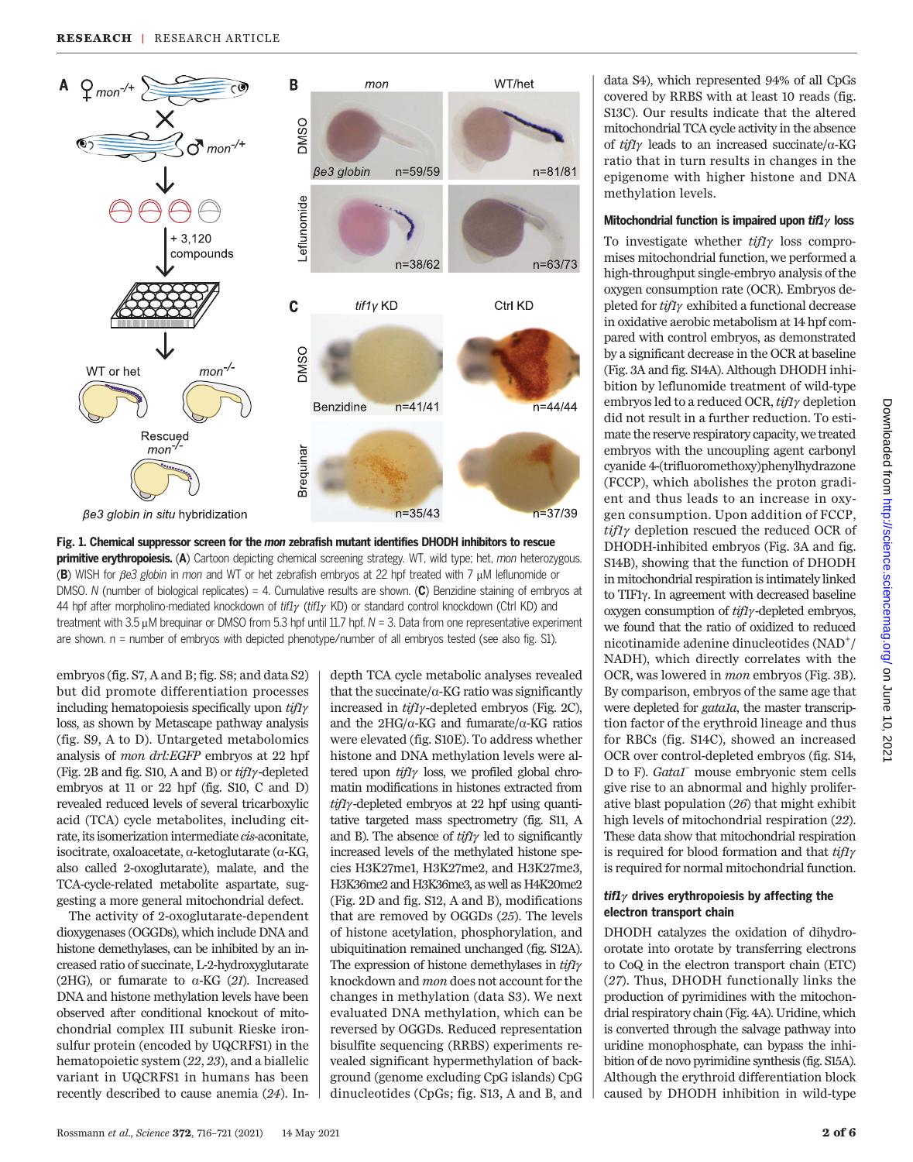

Fig. 1. Chemical suppressor screen for the mon zebrafish mutant identifies DHODH inhibitors to rescue primitive erythropoiesis. (A) Cartoon depicting chemical screening strategy. WT, wild type; het, mon heterozygous. (B) WISH for  $\beta$ e3 globin in mon and WT or het zebrafish embryos at 22 hpf treated with 7  $\mu$ M leflunomide or DMSO. N (number of biological replicates) = 4. Cumulative results are shown.  $(C)$  Benzidine staining of embryos at 44 hpf after morpholino-mediated knockdown of tif1 $\gamma$  (tif1 $\gamma$  KD) or standard control knockdown (Ctrl KD) and treatment with 3.5  $\mu$ M brequinar or DMSO from 5.3 hpf until 11.7 hpf.  $N = 3$ . Data from one representative experiment are shown. n = number of embryos with depicted phenotype/number of all embryos tested (see also fig. S1).

embryos (fig. S7, A and B; fig. S8; and data S2) but did promote differentiation processes including hematopoiesis specifically upon  $\frac{t}{t}f\gamma$ loss, as shown by Metascape pathway analysis (fig. S9, A to D). Untargeted metabolomics analysis of mon drl:EGFP embryos at 22 hpf (Fig. 2B and fig. S10, A and B) or  $\it{tif1}\gamma$ -depleted embryos at 11 or 22 hpf (fig. S10, C and D) revealed reduced levels of several tricarboxylic acid (TCA) cycle metabolites, including citrate, its isomerization intermediate cis-aconitate, isocitrate, oxaloacetate, a-ketoglutarate (a-KG, also called 2-oxoglutarate), malate, and the TCA-cycle-related metabolite aspartate, suggesting a more general mitochondrial defect.

The activity of 2-oxoglutarate-dependent dioxygenases (OGGDs), which include DNA and histone demethylases, can be inhibited by an increased ratio of succinate, L-2-hydroxyglutarate (2HG), or fumarate to  $\alpha$ -KG (21). Increased DNA and histone methylation levels have been observed after conditional knockout of mitochondrial complex III subunit Rieske ironsulfur protein (encoded by UQCRFS1) in the hematopoietic system (22, 23), and a biallelic variant in UQCRFS1 in humans has been recently described to cause anemia (24). Indepth TCA cycle metabolic analyses revealed that the succinate/ $\alpha$ -KG ratio was significantly increased in  $\frac{tf\gamma}{\gamma}$ -depleted embryos (Fig. 2C), and the  $2HG/\alpha$ -KG and fumarate/ $\alpha$ -KG ratios were elevated (fig. S10E). To address whether histone and DNA methylation levels were altered upon  $tifl\gamma$  loss, we profiled global chromatin modifications in histones extracted from  $\frac{t}{t}$ //<sub>2</sub> -depleted embryos at 22 hpf using quantitative targeted mass spectrometry (fig. S11, A and B). The absence of  $\frac{t}{t}$  led to significantly increased levels of the methylated histone species H3K27me1, H3K27me2, and H3K27me3, H3K36me2 and H3K36me3, as well as H4K20me2 (Fig. 2D and fig. S12, A and B), modifications that are removed by OGGDs (25). The levels of histone acetylation, phosphorylation, and ubiquitination remained unchanged (fig. S12A). The expression of histone demethylases in  $\frac{tf\gamma}{f}$ knockdown and mon does not account for the changes in methylation (data S3). We next evaluated DNA methylation, which can be reversed by OGGDs. Reduced representation bisulfite sequencing (RRBS) experiments revealed significant hypermethylation of background (genome excluding CpG islands) CpG dinucleotides (CpGs; fig. S13, A and B, and

data S4), which represented 94% of all CpGs covered by RRBS with at least 10 reads (fig. S13C). Our results indicate that the altered mitochondrial TCA cycle activity in the absence of  $ti\hat{f}l\gamma$  leads to an increased succinate/ $\alpha$ -KG ratio that in turn results in changes in the epigenome with higher histone and DNA methylation levels.

#### Mitochondrial function is impaired upon  $\mathit{tfl}_\gamma$  loss

To investigate whether  $t$ ifl $\gamma$  loss compromises mitochondrial function, we performed a high-throughput single-embryo analysis of the oxygen consumption rate (OCR). Embryos depleted for  $ti\hat{I}\hat{I}\gamma$  exhibited a functional decrease in oxidative aerobic metabolism at 14 hpf compared with control embryos, as demonstrated by a significant decrease in the OCR at baseline (Fig. 3A and fig. S14A). Although DHODH inhibition by leflunomide treatment of wild-type embryos led to a reduced OCR,  $\frac{t}{f/\gamma}$  depletion did not result in a further reduction. To estimate the reserve respiratory capacity, we treated embryos with the uncoupling agent carbonyl cyanide 4-(trifluoromethoxy)phenylhydrazone (FCCP), which abolishes the proton gradient and thus leads to an increase in oxygen consumption. Upon addition of FCCP,  $tift\gamma$  depletion rescued the reduced OCR of DHODH-inhibited embryos (Fig. 3A and fig. S14B), showing that the function of DHODH in mitochondrial respiration is intimately linked to TIF1g. In agreement with decreased baseline oxygen consumption of  $\frac{t}{t}$ y-depleted embryos, we found that the ratio of oxidized to reduced  $nicotinamide adenine dinucleotides (NAD<sup>+</sup>/)$ NADH), which directly correlates with the OCR, was lowered in mon embryos (Fig. 3B). By comparison, embryos of the same age that were depleted for *gatala*, the master transcription factor of the erythroid lineage and thus for RBCs (fig. S14C), showed an increased OCR over control-depleted embryos (fig. S14, D to F). Gata1<sup>–</sup> mouse embryonic stem cells give rise to an abnormal and highly proliferative blast population (26) that might exhibit high levels of mitochondrial respiration (22). These data show that mitochondrial respiration is required for blood formation and that  $tiff\gamma$ is required for normal mitochondrial function.

## tif1 $\gamma$  drives erythropoiesis by affecting the electron transport chain

DHODH catalyzes the oxidation of dihydroorotate into orotate by transferring electrons to CoQ in the electron transport chain (ETC) (27). Thus, DHODH functionally links the production of pyrimidines with the mitochondrial respiratory chain (Fig. 4A). Uridine, which is converted through the salvage pathway into uridine monophosphate, can bypass the inhibition of de novo pyrimidine synthesis (fig. S15A). Although the erythroid differentiation block caused by DHODH inhibition in wild-type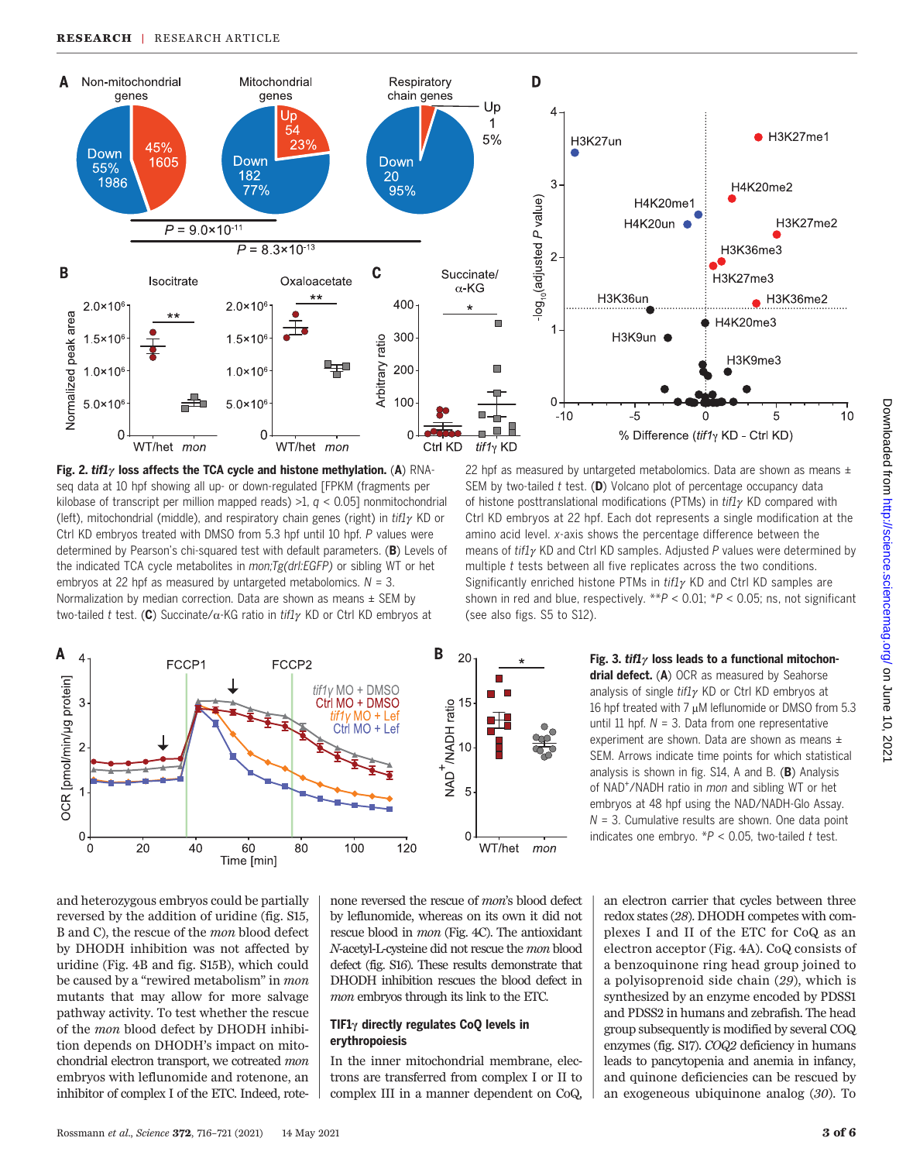







Fig. 3. tif1 $\gamma$  loss leads to a functional mitochondrial defect. (A) OCR as measured by Seahorse analysis of single  $\frac{t}{l}$  KD or Ctrl KD embryos at 16 hpf treated with 7  $\mu$ M leflunomide or DMSO from 5.3 until 11 hpf.  $N = 3$ . Data from one representative experiment are shown. Data are shown as means  $\pm$ SEM. Arrows indicate time points for which statistical analysis is shown in fig.  $S14$ , A and B. (B) Analysis of NAD<sup>+</sup>/NADH ratio in *mon* and sibling WT or het embryos at 48 hpf using the NAD/NADH-Glo Assay.  $N = 3$ . Cumulative results are shown. One data point indicates one embryo.  $*P < 0.05$ , two-tailed t test.

and heterozygous embryos could be partially reversed by the addition of uridine (fig. S15, B and C), the rescue of the mon blood defect by DHODH inhibition was not affected by uridine (Fig. 4B and fig. S15B), which could be caused by a "rewired metabolism" in mon mutants that may allow for more salvage pathway activity. To test whether the rescue of the mon blood defect by DHODH inhibition depends on DHODH's impact on mitochondrial electron transport, we cotreated mon embryos with leflunomide and rotenone, an inhibitor of complex I of the ETC. Indeed, rote-

none reversed the rescue of mon's blood defect by leflunomide, whereas on its own it did not rescue blood in mon (Fig. 4C). The antioxidant N-acetyl-L-cysteine did not rescue the mon blood defect (fig. S16). These results demonstrate that DHODH inhibition rescues the blood defect in mon embryos through its link to the ETC.

## TIF1 $\gamma$  directly regulates CoQ levels in erythropoiesis

In the inner mitochondrial membrane, electrons are transferred from complex I or II to complex III in a manner dependent on CoQ, an electron carrier that cycles between three redox states (28). DHODH competes with complexes I and II of the ETC for CoQ as an electron acceptor (Fig. 4A). CoQ consists of a benzoquinone ring head group joined to a polyisoprenoid side chain (29), which is synthesized by an enzyme encoded by PDSS1 and PDSS2 in humans and zebrafish. The head group subsequently is modified by several COQ enzymes (fig. S17). COQ2 deficiency in humans leads to pancytopenia and anemia in infancy, and quinone deficiencies can be rescued by an exogeneous ubiquinone analog (30). To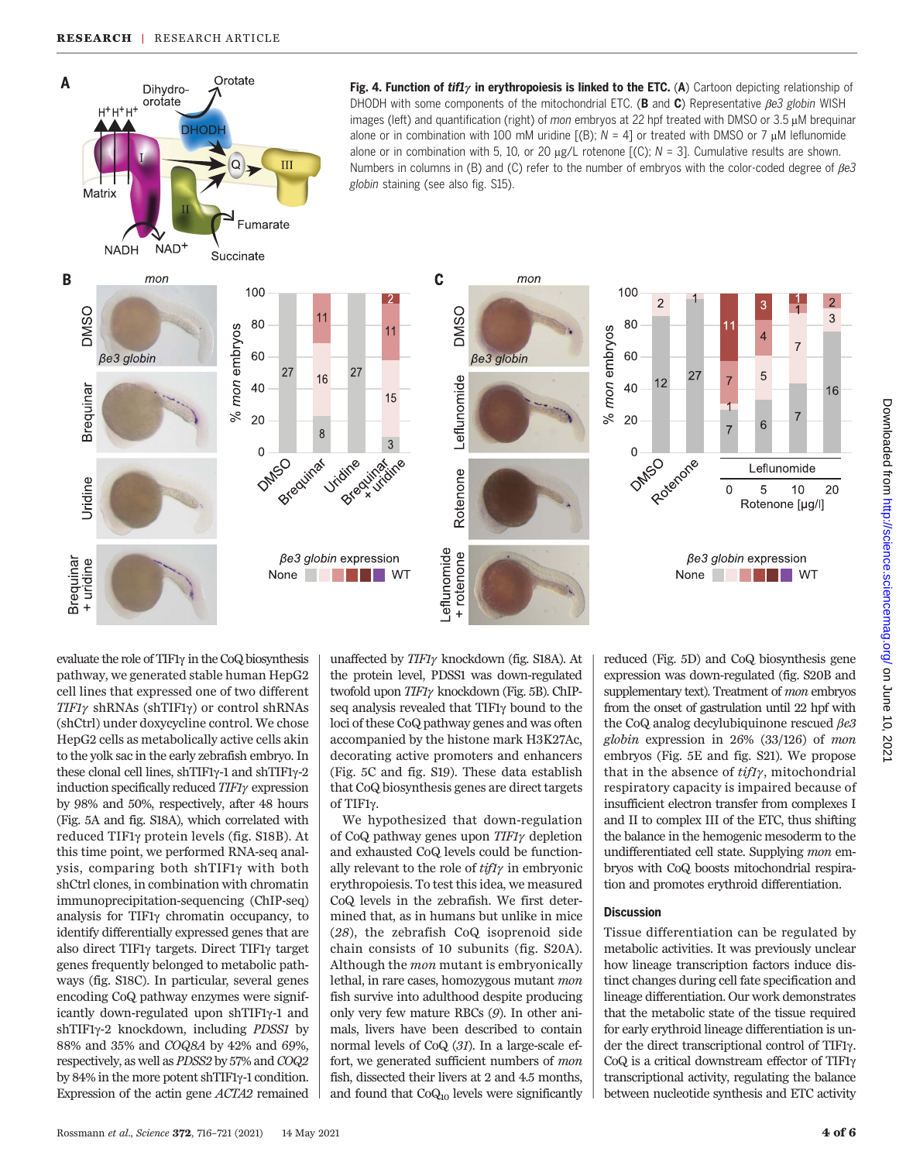

evaluate the role of TIF1g in the CoQ biosynthesis pathway, we generated stable human HepG2 cell lines that expressed one of two different  $TIF1\gamma$  shRNAs (shTIF1 $\gamma$ ) or control shRNAs (shCtrl) under doxycycline control. We chose HepG2 cells as metabolically active cells akin to the yolk sac in the early zebrafish embryo. In these clonal cell lines, shTIF1γ-1 and shTIF1γ-2 induction specifically reduced  $TIF1\gamma$  expression by 98% and 50%, respectively, after 48 hours (Fig. 5A and fig. S18A), which correlated with reduced TIF1g protein levels (fig. S18B). At this time point, we performed RNA-seq analysis, comparing both shTIF1g with both shCtrl clones, in combination with chromatin immunoprecipitation-sequencing (ChIP-seq) analysis for  $TIF1\gamma$  chromatin occupancy, to identify differentially expressed genes that are also direct TIF1 $\gamma$  targets. Direct TIF1 $\gamma$  target genes frequently belonged to metabolic pathways (fig. S18C). In particular, several genes encoding CoQ pathway enzymes were significantly down-regulated upon  $shTIF1\gamma-1$  and shTIF1<sub>y</sub>-2 knockdown, including *PDSS1* by 88% and 35% and COQ8A by 42% and 69%, respectively, as well as PDSS2 by 57% and COQ2 by 84% in the more potent shTIF1y-1 condition. Expression of the actin gene ACTA2 remained

unaffected by  $TIF1\gamma$  knockdown (fig. S18A). At the protein level, PDSS1 was down-regulated twofold upon TIF1y knockdown (Fig. 5B). ChIPseq analysis revealed that  $TIF1\gamma$  bound to the loci of these CoQ pathway genes and was often accompanied by the histone mark H3K27Ac, decorating active promoters and enhancers (Fig. 5C and fig. S19). These data establish that CoQ biosynthesis genes are direct targets of TIF1g.

We hypothesized that down-regulation of CoQ pathway genes upon  $TIF1\gamma$  depletion and exhausted CoQ levels could be functionally relevant to the role of  $\frac{t}{t}\gamma$  in embryonic erythropoiesis. To test this idea, we measured CoQ levels in the zebrafish. We first determined that, as in humans but unlike in mice (28), the zebrafish CoQ isoprenoid side chain consists of 10 subunits (fig. S20A). Although the mon mutant is embryonically lethal, in rare cases, homozygous mutant mon fish survive into adulthood despite producing only very few mature RBCs (9). In other animals, livers have been described to contain normal levels of CoQ (31). In a large-scale effort, we generated sufficient numbers of mon fish, dissected their livers at 2 and 4.5 months, and found that  $CoQ_{10}$  levels were significantly

reduced (Fig. 5D) and CoQ biosynthesis gene expression was down-regulated (fig. S20B and supplementary text). Treatment of mon embryos from the onset of gastrulation until 22 hpf with the CoQ analog decylubiquinone rescued  $\beta e3$ globin expression in 26% (33/126) of mon embryos (Fig. 5E and fig. S21). We propose that in the absence of  $ti\hat{H}\gamma$ , mitochondrial respiratory capacity is impaired because of insufficient electron transfer from complexes I and II to complex III of the ETC, thus shifting the balance in the hemogenic mesoderm to the undifferentiated cell state. Supplying mon embryos with CoQ boosts mitochondrial respiration and promotes erythroid differentiation.

## **Discussion**

Tissue differentiation can be regulated by metabolic activities. It was previously unclear how lineage transcription factors induce distinct changes during cell fate specification and lineage differentiation. Our work demonstrates that the metabolic state of the tissue required for early erythroid lineage differentiation is under the direct transcriptional control of TIF1g. CoQ is a critical downstream effector of TIF1 $\gamma$ transcriptional activity, regulating the balance between nucleotide synthesis and ETC activity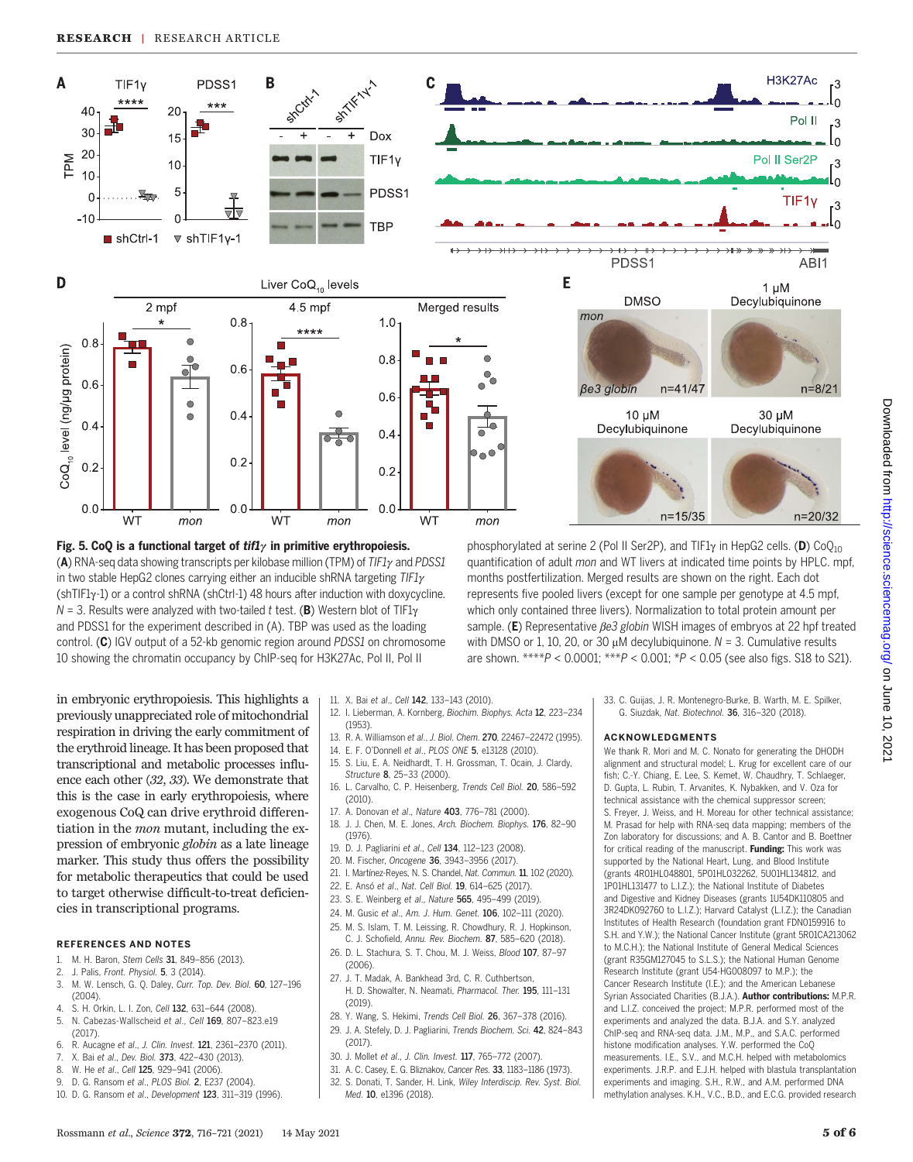

Fig. 5. CoQ is a functional target of  $\frac{t}{t}$  in primitive erythropoiesis. (A) RNA-seq data showing transcripts per kilobase million (TPM) of  $TIF1\gamma$  and PDSS1 in two stable HepG2 clones carrying either an inducible shRNA targeting  $TIF1\gamma$  $(shTIF1y-1)$  or a control shRNA (shCtrl-1) 48 hours after induction with doxycycline.  $N = 3$ . Results were analyzed with two-tailed t test. (B) Western blot of TIF1 $\gamma$ and PDSS1 for the experiment described in (A). TBP was used as the loading control. (C) IGV output of a 52-kb genomic region around PDSS1 on chromosome 10 showing the chromatin occupancy by ChIP-seq for H3K27Ac, Pol II, Pol II

phosphorylated at serine 2 (Pol II Ser2P), and TIF1 $\gamma$  in HepG2 cells. (D) CoO<sub>10</sub> quantification of adult mon and WT livers at indicated time points by HPLC. mpf, months postfertilization. Merged results are shown on the right. Each dot represents five pooled livers (except for one sample per genotype at 4.5 mpf, which only contained three livers). Normalization to total protein amount per sample. (E) Representative  $\beta e3$  globin WISH images of embryos at 22 hpf treated with DMSO or 1, 10, 20, or 30  $\mu$ M decylubiquinone. N = 3. Cumulative results are shown. \*\*\*\* $P < 0.0001$ ; \*\*\* $P < 0.001$ ; \* $P < 0.05$  (see also figs. S18 to S21).

in embryonic erythropoiesis. This highlights a previously unappreciated role of mitochondrial respiration in driving the early commitment of the erythroid lineage. It has been proposed that transcriptional and metabolic processes influence each other (32, 33). We demonstrate that this is the case in early erythropoiesis, where exogenous CoQ can drive erythroid differentiation in the mon mutant, including the expression of embryonic globin as a late lineage marker. This study thus offers the possibility for metabolic therapeutics that could be used to target otherwise difficult-to-treat deficiencies in transcriptional programs.

#### REFERENCES AND NOTES

- M. H. Baron, Stem Cells 31, 849-856 (2013).
- 2. J. Palis, Front. Physiol. 5, 3 (2014).
- 3. M. W. Lensch, G. Q. Daley, Curr. Top. Dev. Biol. 60, 127–196 (2004).
- 4. S. H. Orkin, L. I. Zon, Cell 132, 631–644 (2008).
- 5. N. Cabezas-Wallscheid et al., Cell 169, 807–823.e19  $(2017)$
- 6. R. Aucagne et al., J. Clin. Invest. 121, 2361–2370 (2011).
- 7. X. Bai et al., Dev. Biol. 373, 422-430 (2013).
- 8. W. He et al., Cell 125, 929-941 (2006).
- 9. D. G. Ransom et al., PLOS Biol. 2, E237 (2004).
- 10. D. G. Ransom et al., Development 123, 311–319 (1996).
- 11. X. Bai et al., Cell 142, 133-143 (2010).
- 12. I. Lieberman, A. Kornberg, Biochim. Biophys. Acta 12, 223–234 (1953).
- 13. R. A. Williamson et al., J. Biol. Chem. 270, 22467–22472 (1995).
- 14. E. F. O'Donnell et al., PLOS ONE 5, e13128 (2010).
- 15. S. Liu, E. A. Neidhardt, T. H. Grossman, T. Ocain, J. Clardy, Structure 8, 25–33 (2000).
- 16. L. Carvalho, C. P. Heisenberg, Trends Cell Biol. 20, 586–592  $(2010)$
- 17. A. Donovan et al., Nature 403, 776–781 (2000).
- 18. J. J. Chen, M. E. Jones, Arch. Biochem. Biophys. 176, 82–90 (1976).
- 19. D. J. Pagliarini et al., Cell 134, 112-123 (2008).
- 20. M. Fischer, Oncogene 36, 3943–3956 (2017).
- 21. I. Martínez-Reyes, N. S. Chandel, Nat. Commun. 11, 102 (2020).
- 22. E. Ansó et al., Nat. Cell Biol. 19, 614–625 (2017).
- 23. S. E. Weinberg et al., Nature 565, 495–499 (2019).
- 24. M. Gusic et al., Am. J. Hum. Genet. 106, 102–111 (2020). 25. M. S. Islam, T. M. Leissing, R. Chowdhury, R. J. Hopkinson,
- C. J. Schofield, Annu. Rev. Biochem. 87, 585–620 (2018). 26. D. L. Stachura, S. T. Chou, M. J. Weiss, Blood 107, 87–97 (2006).
- 27. J. T. Madak, A. Bankhead 3rd, C. R. Cuthbertson,
- H. D. Showalter, N. Neamati, Pharmacol. Ther. 195, 111–131 (2019).
- 28. Y. Wang, S. Hekimi, Trends Cell Biol. 26, 367–378 (2016). 29. J. A. Stefely, D. J. Pagliarini, Trends Biochem. Sci. 42, 824–843 (2017).
- 
- 30. J. Mollet et al., J. Clin. Invest. 117, 765–772 (2007).
- 31. A. C. Casey, E. G. Bliznakov, Cancer Res. 33, 1183–1186 (1973). 32. S. Donati, T. Sander, H. Link, Wiley Interdiscip. Rev. Syst. Biol. Med. 10, e1396 (2018).
- 
- 33. C. Guijas, J. R. Montenegro-Burke, B. Warth, M. E. Spilker, G. Siuzdak, Nat. Biotechnol. 36, 316–320 (2018).

#### ACKNOWLEDGMENTS

We thank R. Mori and M. C. Nonato for generating the DHODH alignment and structural model; L. Krug for excellent care of our fish; C.-Y. Chiang, E. Lee, S. Kemet, W. Chaudhry, T. Schlaeger, D. Gupta, L. Rubin, T. Arvanites, K. Nybakken, and V. Oza for technical assistance with the chemical suppressor screen; S. Freyer, J. Weiss, and H. Moreau for other technical assistance; M. Prasad for help with RNA-seq data mapping; members of the Zon laboratory for discussions; and A. B. Cantor and B. Boettner for critical reading of the manuscript. Funding: This work was supported by the National Heart, Lung, and Blood Institute (grants 4R01HL048801, 5P01HL032262, 5U01HL134812, and 1P01HL131477 to L.I.Z.); the National Institute of Diabetes and Digestive and Kidney Diseases (grants 1U54DK110805 and 3R24DK092760 to L.I.Z.); Harvard Catalyst (L.I.Z.); the Canadian Institutes of Health Research (foundation grant FDN0159916 to S.H. and Y.W.); the National Cancer Institute (grant 5R01CA213062 to M.C.H.); the National Institute of General Medical Sciences (grant R35GM127045 to S.L.S.); the National Human Genome Research Institute (grant U54-HG008097 to M.P.); the Cancer Research Institute (I.E.); and the American Lebanese Syrian Associated Charities (B.J.A.). Author contributions: M.P.R. and L.I.Z. conceived the project; M.P.R. performed most of the experiments and analyzed the data. B.J.A. and S.Y. analyzed ChIP-seq and RNA-seq data. J.M., M.P., and S.A.C. performed histone modification analyses. Y.W. performed the CoQ measurements. I.E., S.V., and M.C.H. helped with metabolomics experiments. J.R.P. and E.J.H. helped with blastula transplantation experiments and imaging. S.H., R.W., and A.M. performed DNA methylation analyses. K.H., V.C., B.D., and E.C.G. provided research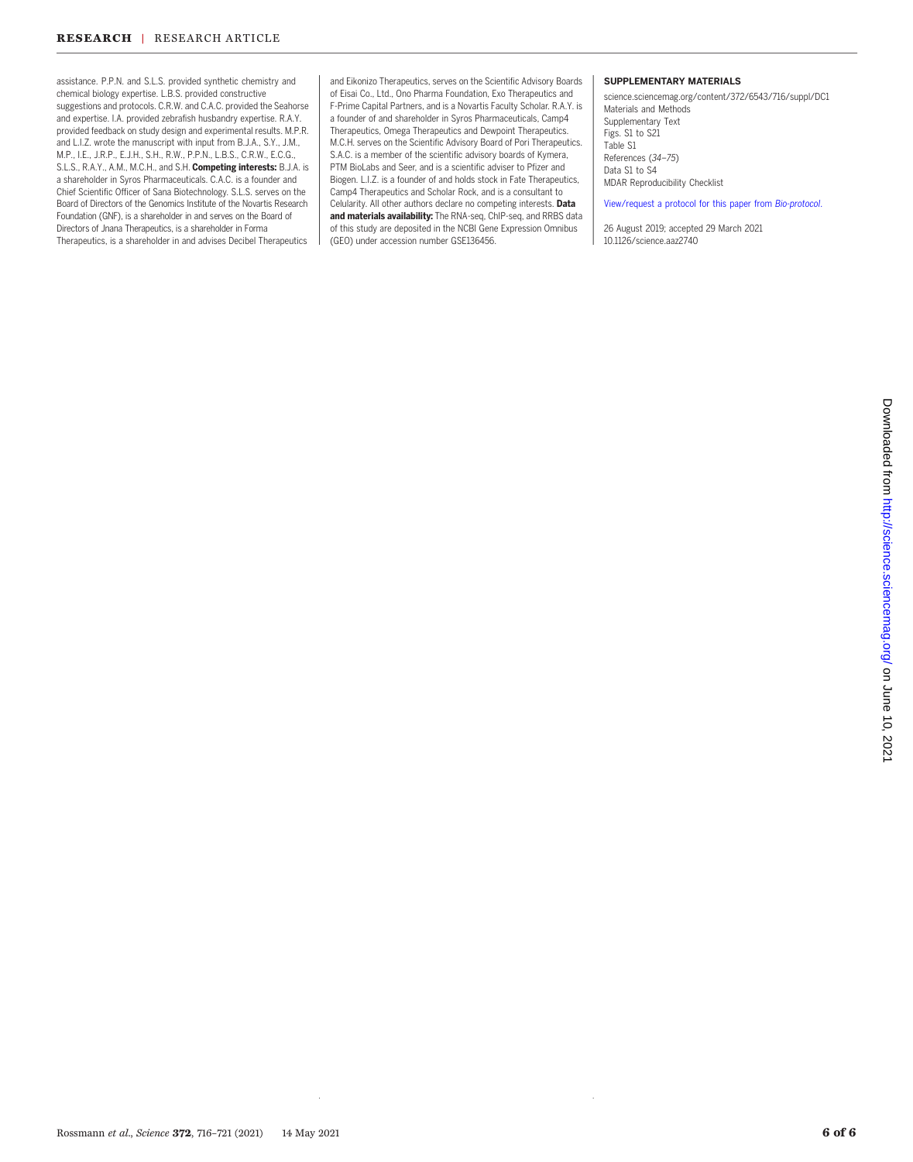assistance. P.P.N. and S.L.S. provided synthetic chemistry and chemical biology expertise. L.B.S. provided constructive suggestions and protocols. C.R.W. and C.A.C. provided the Seahorse and expertise. I.A. provided zebrafish husbandry expertise. R.A.Y. provided feedback on study design and experimental results. M.P.R. and L.I.Z. wrote the manuscript with input from B.J.A., S.Y., J.M., M.P., I.E., J.R.P., E.J.H., S.H., R.W., P.P.N., L.B.S., C.R.W., E.C.G., S.L.S., R.A.Y., A.M., M.C.H., and S.H. Competing interests: B.J.A. is a shareholder in Syros Pharmaceuticals. C.A.C. is a founder and Chief Scientific Officer of Sana Biotechnology. S.L.S. serves on the Board of Directors of the Genomics Institute of the Novartis Research Foundation (GNF), is a shareholder in and serves on the Board of Directors of Jnana Therapeutics, is a shareholder in Forma Therapeutics, is a shareholder in and advises Decibel Therapeutics and Eikonizo Therapeutics, serves on the Scientific Advisory Boards of Eisai Co., Ltd., Ono Pharma Foundation, Exo Therapeutics and F-Prime Capital Partners, and is a Novartis Faculty Scholar. R.A.Y. is a founder of and shareholder in Syros Pharmaceuticals, Camp4 Therapeutics, Omega Therapeutics and Dewpoint Therapeutics. M.C.H. serves on the Scientific Advisory Board of Pori Therapeutics. S.A.C. is a member of the scientific advisory boards of Kymera, PTM BioLabs and Seer, and is a scientific adviser to Pfizer and Biogen. L.I.Z. is a founder of and holds stock in Fate Therapeutics, Camp4 Therapeutics and Scholar Rock, and is a consultant to Celularity. All other authors declare no competing interests. Data and materials availability: The RNA-seq, ChIP-seq, and RRBS data of this study are deposited in the NCBI Gene Expression Omnibus (GEO) under accession number GSE136456.

#### SUPPLEMENTARY MATERIALS

[science.sciencemag.org/content/372/6543/716/suppl/DC1](https://science.sciencemag.org/content/372/6543/716/suppl/DC1) Materials and Methods Supplementary Text Figs. S1 to S21 Table S1 References (34–75) Data S1 to S4 MDAR Reproducibility Checklist

[View/request a protocol for this paper from](https://en.bio-protocol.org/cjrap.aspx?eid=10.1126/science.aaz2740) Bio-protocol.

26 August 2019; accepted 29 March 2021 10.1126/science.aaz2740